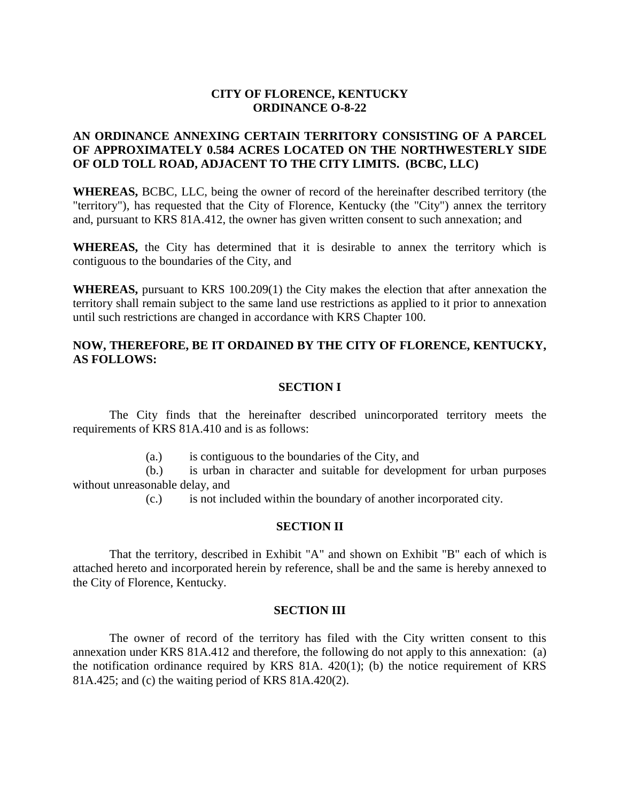# **CITY OF FLORENCE, KENTUCKY ORDINANCE O-8-22**

# **AN ORDINANCE ANNEXING CERTAIN TERRITORY CONSISTING OF A PARCEL OF APPROXIMATELY 0.584 ACRES LOCATED ON THE NORTHWESTERLY SIDE OF OLD TOLL ROAD, ADJACENT TO THE CITY LIMITS. (BCBC, LLC)**

**WHEREAS,** BCBC, LLC, being the owner of record of the hereinafter described territory (the "territory"), has requested that the City of Florence, Kentucky (the "City") annex the territory and, pursuant to KRS 81A.412, the owner has given written consent to such annexation; and

**WHEREAS,** the City has determined that it is desirable to annex the territory which is contiguous to the boundaries of the City, and

**WHEREAS,** pursuant to KRS 100.209(1) the City makes the election that after annexation the territory shall remain subject to the same land use restrictions as applied to it prior to annexation until such restrictions are changed in accordance with KRS Chapter 100.

# **NOW, THEREFORE, BE IT ORDAINED BY THE CITY OF FLORENCE, KENTUCKY, AS FOLLOWS:**

### **SECTION I**

The City finds that the hereinafter described unincorporated territory meets the requirements of KRS 81A.410 and is as follows:

(a.) is contiguous to the boundaries of the City, and

(b.) is urban in character and suitable for development for urban purposes without unreasonable delay, and

(c.) is not included within the boundary of another incorporated city.

### **SECTION II**

That the territory, described in Exhibit "A" and shown on Exhibit "B" each of which is attached hereto and incorporated herein by reference, shall be and the same is hereby annexed to the City of Florence, Kentucky.

#### **SECTION III**

The owner of record of the territory has filed with the City written consent to this annexation under KRS 81A.412 and therefore, the following do not apply to this annexation: (a) the notification ordinance required by KRS 81A. 420(1); (b) the notice requirement of KRS 81A.425; and (c) the waiting period of KRS 81A.420(2).